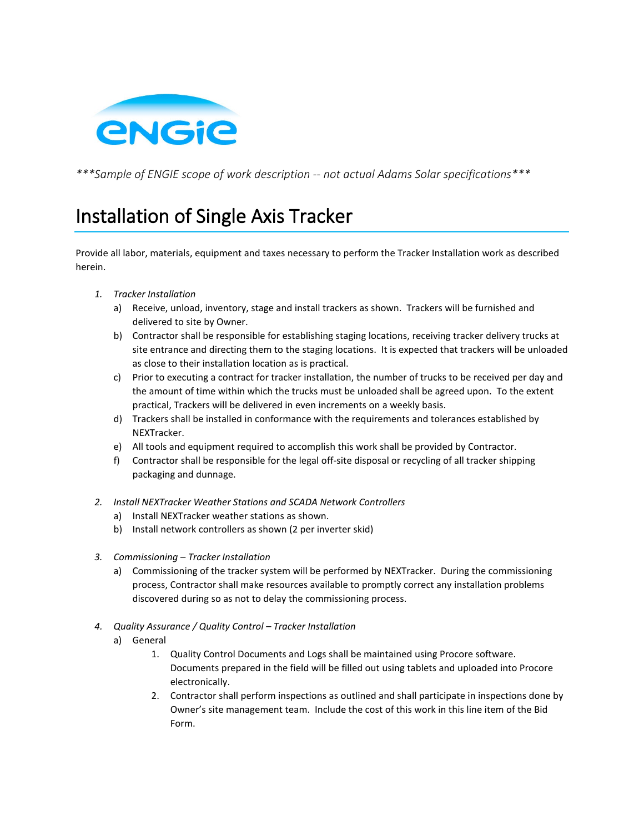

*\*\*\*Sample of ENGIE scope of work description -- not actual Adams Solar specifications\*\*\**

## Installation of Single Axis Tracker

Provide all labor, materials, equipment and taxes necessary to perform the Tracker Installation work as described herein.

- *1. Tracker Installation*
	- a) Receive, unload, inventory, stage and install trackers as shown. Trackers will be furnished and delivered to site by Owner.
	- b) Contractor shall be responsible for establishing staging locations, receiving tracker delivery trucks at site entrance and directing them to the staging locations. It is expected that trackers will be unloaded as close to their installation location as is practical.
	- c) Prior to executing a contract for tracker installation, the number of trucks to be received per day and the amount of time within which the trucks must be unloaded shall be agreed upon. To the extent practical, Trackers will be delivered in even increments on a weekly basis.
	- d) Trackers shall be installed in conformance with the requirements and tolerances established by NEXTracker.
	- e) All tools and equipment required to accomplish this work shall be provided by Contractor.
	- f) Contractor shall be responsible for the legal off-site disposal or recycling of all tracker shipping packaging and dunnage.
- *2. Install NEXTracker Weather Stations and SCADA Network Controllers*
	- a) Install NEXTracker weather stations as shown.
	- b) Install network controllers as shown (2 per inverter skid)
- *3. Commissioning – Tracker Installation*
	- a) Commissioning of the tracker system will be performed by NEXTracker. During the commissioning process, Contractor shall make resources available to promptly correct any installation problems discovered during so as not to delay the commissioning process.
- *4. Quality Assurance / Quality Control – Tracker Installation*
	- a) General
		- 1. Quality Control Documents and Logs shall be maintained using Procore software. Documents prepared in the field will be filled out using tablets and uploaded into Procore electronically.
		- 2. Contractor shall perform inspections as outlined and shall participate in inspections done by Owner's site management team. Include the cost of this work in this line item of the Bid Form.